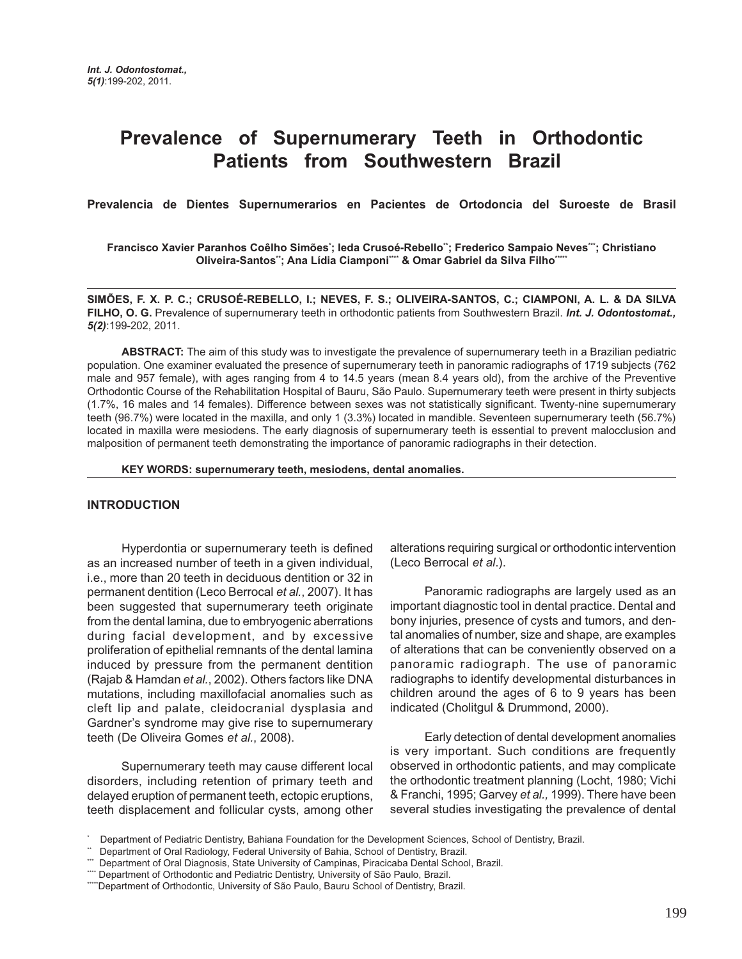# **Prevalence of Supernumerary Teeth in Orthodontic Patients from Southwestern Brazil**

**Prevalencia de Dientes Supernumerarios en Pacientes de Ortodoncia del Suroeste de Brasil**

**Francisco Xavier Paranhos Coêlho Simões\* ; Ieda Crusoé-Rebello\*\*; Frederico Sampaio Neves\*\*\*; Christiano** Oliveira-Santos"; Ana Lídia Ciamponi"" & Omar Gabriel da Silva Filho""

**SIMÕES, F. X. P. C.; CRUSOÉ-REBELLO, I.; NEVES, F. S.; OLIVEIRA-SANTOS, C.; CIAMPONI, A. L. & DA SILVA FILHO, O. G.** Prevalence of supernumerary teeth in orthodontic patients from Southwestern Brazil. *Int. J. Odontostomat., 5(2)*:199-202, 2011.

**ABSTRACT:** The aim of this study was to investigate the prevalence of supernumerary teeth in a Brazilian pediatric population. One examiner evaluated the presence of supernumerary teeth in panoramic radiographs of 1719 subjects (762 male and 957 female), with ages ranging from 4 to 14.5 years (mean 8.4 years old), from the archive of the Preventive Orthodontic Course of the Rehabilitation Hospital of Bauru, São Paulo. Supernumerary teeth were present in thirty subjects (1.7%, 16 males and 14 females). Difference between sexes was not statistically significant. Twenty-nine supernumerary teeth (96.7%) were located in the maxilla, and only 1 (3.3%) located in mandible. Seventeen supernumerary teeth (56.7%) located in maxilla were mesiodens. The early diagnosis of supernumerary teeth is essential to prevent malocclusion and malposition of permanent teeth demonstrating the importance of panoramic radiographs in their detection.

**KEY WORDS: supernumerary teeth, mesiodens, dental anomalies.**

### **INTRODUCTION**

Hyperdontia or supernumerary teeth is defined as an increased number of teeth in a given individual, i.e., more than 20 teeth in deciduous dentition or 32 in permanent dentition (Leco Berrocal *et al.*, 2007). It has been suggested that supernumerary teeth originate from the dental lamina, due to embryogenic aberrations during facial development, and by excessive proliferation of epithelial remnants of the dental lamina induced by pressure from the permanent dentition (Rajab & Hamdan *et al.*, 2002). Others factors like DNA mutations, including maxillofacial anomalies such as cleft lip and palate, cleidocranial dysplasia and Gardner's syndrome may give rise to supernumerary teeth (De Oliveira Gomes *et al.*, 2008).

Supernumerary teeth may cause different local disorders, including retention of primary teeth and delayed eruption of permanent teeth, ectopic eruptions, teeth displacement and follicular cysts, among other alterations requiring surgical or orthodontic intervention (Leco Berrocal *et al*.).

Panoramic radiographs are largely used as an important diagnostic tool in dental practice. Dental and bony injuries, presence of cysts and tumors, and dental anomalies of number, size and shape, are examples of alterations that can be conveniently observed on a panoramic radiograph. The use of panoramic radiographs to identify developmental disturbances in children around the ages of 6 to 9 years has been indicated (Cholitgul & Drummond, 2000).

Early detection of dental development anomalies is very important. Such conditions are frequently observed in orthodontic patients, and may complicate the orthodontic treatment planning (Locht, 1980; Vichi & Franchi, 1995; Garvey *et al.,* 1999). There have been several studies investigating the prevalence of dental

<sup>\*</sup> Department of Pediatric Dentistry, Bahiana Foundation for the Development Sciences, School of Dentistry, Brazil.

Department of Oral Radiology, Federal University of Bahia, School of Dentistry, Brazil.

<sup>\*\*\*</sup> Department of Oral Diagnosis, State University of Campinas, Piracicaba Dental School, Brazil.

<sup>\*\*\*\*</sup> Department of Orthodontic and Pediatric Dentistry, University of São Paulo, Brazil.

<sup>\*\*\*\*\*</sup>Department of Orthodontic, University of São Paulo, Bauru School of Dentistry, Brazil.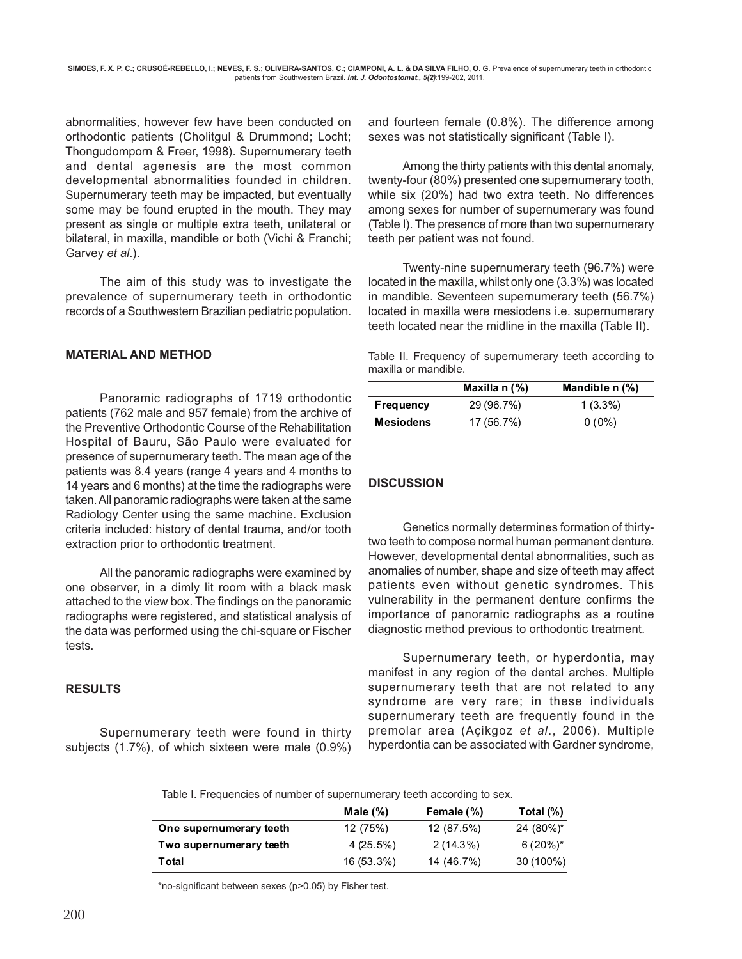abnormalities, however few have been conducted on orthodontic patients (Cholitgul & Drummond; Locht; Thongudomporn & Freer, 1998). Supernumerary teeth and dental agenesis are the most common developmental abnormalities founded in children. Supernumerary teeth may be impacted, but eventually some may be found erupted in the mouth. They may present as single or multiple extra teeth, unilateral or bilateral, in maxilla, mandible or both (Vichi & Franchi; Garvey *et al*.).

The aim of this study was to investigate the prevalence of supernumerary teeth in orthodontic records of a Southwestern Brazilian pediatric population.

## **MATERIAL AND METHOD**

Panoramic radiographs of 1719 orthodontic patients (762 male and 957 female) from the archive of the Preventive Orthodontic Course of the Rehabilitation Hospital of Bauru, São Paulo were evaluated for presence of supernumerary teeth. The mean age of the patients was 8.4 years (range 4 years and 4 months to 14 years and 6 months) at the time the radiographs were taken. All panoramic radiographs were taken at the same Radiology Center using the same machine. Exclusion criteria included: history of dental trauma, and/or tooth extraction prior to orthodontic treatment.

All the panoramic radiographs were examined by one observer, in a dimly lit room with a black mask attached to the view box. The findings on the panoramic radiographs were registered, and statistical analysis of the data was performed using the chi-square or Fischer tests.

## **RESULTS**

Supernumerary teeth were found in thirty subjects (1.7%), of which sixteen were male (0.9%) and fourteen female (0.8%). The difference among sexes was not statistically significant (Table I).

Among the thirty patients with this dental anomaly, twenty-four (80%) presented one supernumerary tooth, while six (20%) had two extra teeth. No differences among sexes for number of supernumerary was found (Table I). The presence of more than two supernumerary teeth per patient was not found.

Twenty-nine supernumerary teeth (96.7%) were located in the maxilla, whilst only one (3.3%) was located in mandible. Seventeen supernumerary teeth (56.7%) located in maxilla were mesiodens i.e. supernumerary teeth located near the midline in the maxilla (Table II).

Table II. Frequency of supernumerary teeth according to maxilla or mandible.

|                  | Maxilla $n$ (%) | Mandible n (%) |
|------------------|-----------------|----------------|
| <b>Frequency</b> | 29 (96.7%)      | $1(3.3\%)$     |
| <b>Mesiodens</b> | 17 (56.7%)      | $0(0\%)$       |

## **DISCUSSION**

Genetics normally determines formation of thirtytwo teeth to compose normal human permanent denture. However, developmental dental abnormalities, such as anomalies of number, shape and size of teeth may affect patients even without genetic syndromes. This vulnerability in the permanent denture confirms the importance of panoramic radiographs as a routine diagnostic method previous to orthodontic treatment.

Supernumerary teeth, or hyperdontia, may manifest in any region of the dental arches. Multiple supernumerary teeth that are not related to any syndrome are very rare; in these individuals supernumerary teeth are frequently found in the premolar area (Açikgoz *et al*., 2006). Multiple hyperdontia can be associated with Gardner syndrome,

Table I. Frequencies of number of supernumerary teeth according to sex.

|                         | Male $(\% )$ | Female (%)  | Total (%)   |
|-------------------------|--------------|-------------|-------------|
| One supernumerary teeth | 12 (75%)     | 12 (87.5%)  | 24 (80%)*   |
| Two supernumerary teeth | 4 (25.5%)    | $2(14.3\%)$ | $6(20\%)^*$ |
| Total                   | 16 (53.3%)   | 14 (46.7%)  | 30 (100%)   |

\*no-significant between sexes (p>0.05) by Fisher test.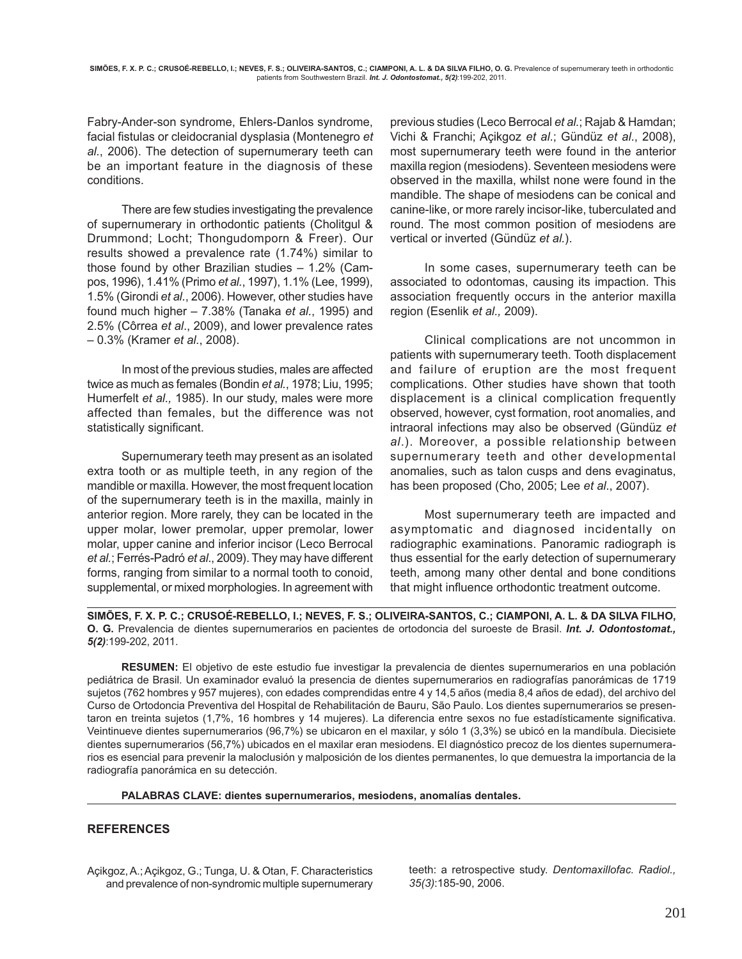Fabry-Ander-son syndrome, Ehlers-Danlos syndrome, facial fistulas or cleidocranial dysplasia (Montenegro *et al.*, 2006). The detection of supernumerary teeth can be an important feature in the diagnosis of these conditions.

There are few studies investigating the prevalence of supernumerary in orthodontic patients (Cholitgul & Drummond; Locht; Thongudomporn & Freer). Our results showed a prevalence rate (1.74%) similar to those found by other Brazilian studies – 1.2% (Campos, 1996), 1.41% (Primo *et al.*, 1997), 1.1% (Lee, 1999), 1.5% (Girondi *et al.*, 2006). However, other studies have found much higher – 7.38% (Tanaka *et al.*, 1995) and 2.5% (Côrrea *et al*., 2009), and lower prevalence rates – 0.3% (Kramer *et al.*, 2008).

In most of the previous studies, males are affected twice as much as females (Bondin *et al.*, 1978; Liu, 1995; Humerfelt *et al.,* 1985). In our study, males were more affected than females, but the difference was not statistically significant.

Supernumerary teeth may present as an isolated extra tooth or as multiple teeth, in any region of the mandible or maxilla. However, the most frequent location of the supernumerary teeth is in the maxilla, mainly in anterior region. More rarely, they can be located in the upper molar, lower premolar, upper premolar, lower molar, upper canine and inferior incisor (Leco Berrocal *et al.*; Ferrés-Padró *et al*., 2009). They may have different forms, ranging from similar to a normal tooth to conoid, supplemental, or mixed morphologies. In agreement with

previous studies (Leco Berrocal *et al.*; Rajab & Hamdan; Vichi & Franchi; Açikgoz *et al*.; Gündüz *et al*., 2008), most supernumerary teeth were found in the anterior maxilla region (mesiodens). Seventeen mesiodens were observed in the maxilla, whilst none were found in the mandible. The shape of mesiodens can be conical and canine-like, or more rarely incisor-like, tuberculated and round. The most common position of mesiodens are vertical or inverted (Gündüz *et al.*).

In some cases, supernumerary teeth can be associated to odontomas, causing its impaction. This association frequently occurs in the anterior maxilla region (Esenlik *et al.,* 2009).

Clinical complications are not uncommon in patients with supernumerary teeth. Tooth displacement and failure of eruption are the most frequent complications. Other studies have shown that tooth displacement is a clinical complication frequently observed, however, cyst formation, root anomalies, and intraoral infections may also be observed (Gündüz *et al*.). Moreover, a possible relationship between supernumerary teeth and other developmental anomalies, such as talon cusps and dens evaginatus, has been proposed (Cho, 2005; Lee *et al*., 2007).

Most supernumerary teeth are impacted and asymptomatic and diagnosed incidentally on radiographic examinations. Panoramic radiograph is thus essential for the early detection of supernumerary teeth, among many other dental and bone conditions that might influence orthodontic treatment outcome.

**SIMÕES, F. X. P. C.; CRUSOÉ-REBELLO, I.; NEVES, F. S.; OLIVEIRA-SANTOS, C.; CIAMPONI, A. L. & DA SILVA FILHO, O. G.** Prevalencia de dientes supernumerarios en pacientes de ortodoncia del suroeste de Brasil. *Int. J. Odontostomat., 5(2)*:199-202, 2011.

**RESUMEN:** El objetivo de este estudio fue investigar la prevalencia de dientes supernumerarios en una población pediátrica de Brasil. Un examinador evaluó la presencia de dientes supernumerarios en radiografías panorámicas de 1719 sujetos (762 hombres y 957 mujeres), con edades comprendidas entre 4 y 14,5 años (media 8,4 años de edad), del archivo del Curso de Ortodoncia Preventiva del Hospital de Rehabilitación de Bauru, São Paulo. Los dientes supernumerarios se presentaron en treinta sujetos (1,7%, 16 hombres y 14 mujeres). La diferencia entre sexos no fue estadísticamente significativa. Veintinueve dientes supernumerarios (96,7%) se ubicaron en el maxilar, y sólo 1 (3,3%) se ubicó en la mandíbula. Diecisiete dientes supernumerarios (56,7%) ubicados en el maxilar eran mesiodens. El diagnóstico precoz de los dientes supernumerarios es esencial para prevenir la maloclusión y malposición de los dientes permanentes, lo que demuestra la importancia de la radiografía panorámica en su detección.

**PALABRAS CLAVE: dientes supernumerarios, mesiodens, anomalías dentales.**

## **REFERENCES**

Açikgoz, A.; Açikgoz, G.; Tunga, U. & Otan, F. Characteristics and prevalence of non-syndromic multiple supernumerary teeth: a retrospective study. *Dentomaxillofac. Radiol., 35(3)*:185-90, 2006.